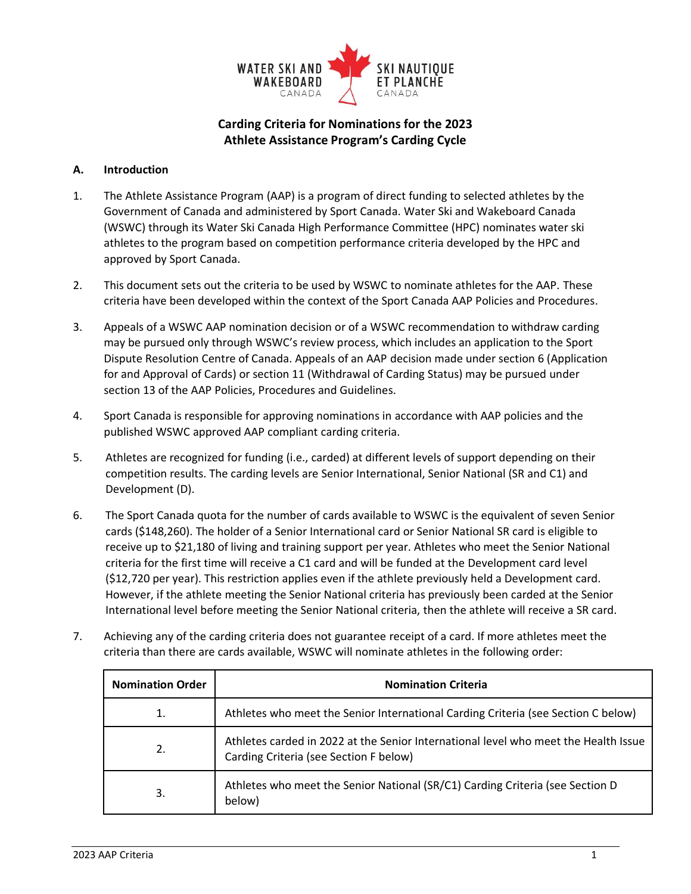

# **Carding Criteria for Nominations for the 2023 Athlete Assistance Program's Carding Cycle**

# **A. Introduction**

- 1. The Athlete Assistance Program (AAP) is a program of direct funding to selected athletes by the Government of Canada and administered by Sport Canada. Water Ski and Wakeboard Canada (WSWC) through its Water Ski Canada High Performance Committee (HPC) nominates water ski athletes to the program based on competition performance criteria developed by the HPC and approved by Sport Canada.
- 2. This document sets out the criteria to be used by WSWC to nominate athletes for the AAP. These criteria have been developed within the context of the Sport Canada AAP Policies and Procedures.
- 3. Appeals of a WSWC AAP nomination decision or of a WSWC recommendation to withdraw carding may be pursued only through WSWC's review process, which includes an application to the Sport Dispute Resolution Centre of Canada. Appeals of an AAP decision made under section 6 (Application for and Approval of Cards) or section 11 (Withdrawal of Carding Status) may be pursued under section 13 of the AAP Policies, Procedures and Guidelines.
- 4. Sport Canada is responsible for approving nominations in accordance with AAP policies and the published WSWC approved AAP compliant carding criteria.
- 5. Athletes are recognized for funding (i.e., carded) at different levels of support depending on their competition results. The carding levels are Senior International, Senior National (SR and C1) and Development (D).
- 6. The Sport Canada quota for the number of cards available to WSWC is the equivalent of seven Senior cards (\$148,260). The holder of a Senior International card or Senior National SR card is eligible to receive up to \$21,180 of living and training support per year. Athletes who meet the Senior National criteria for the first time will receive a C1 card and will be funded at the Development card level (\$12,720 per year). This restriction applies even if the athlete previously held a Development card. However, if the athlete meeting the Senior National criteria has previously been carded at the Senior International level before meeting the Senior National criteria, then the athlete will receive a SR card.
- 7. Achieving any of the carding criteria does not guarantee receipt of a card. If more athletes meet the criteria than there are cards available, WSWC will nominate athletes in the following order:

| <b>Nomination Order</b> | <b>Nomination Criteria</b>                                                                                                    |  |
|-------------------------|-------------------------------------------------------------------------------------------------------------------------------|--|
|                         | Athletes who meet the Senior International Carding Criteria (see Section C below)                                             |  |
| 2.                      | Athletes carded in 2022 at the Senior International level who meet the Health Issue<br>Carding Criteria (see Section F below) |  |
| 3.                      | Athletes who meet the Senior National (SR/C1) Carding Criteria (see Section D<br>below)                                       |  |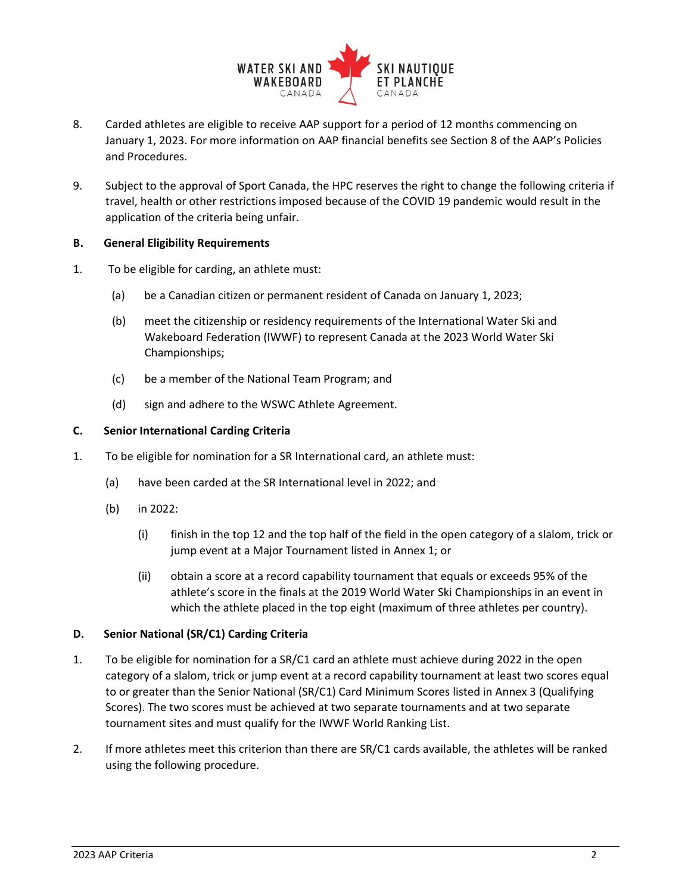

- 8. Carded athletes are eligible to receive AAP support for a period of 12 months commencing on January 1, 2023. For more information on AAP financial benefits see Section 8 of the AAP's Policies and Procedures.
- 9. Subject to the approval of Sport Canada, the HPC reserves the right to change the following criteria if travel, health or other restrictions imposed because of the COVID 19 pandemic would result in the application of the criteria being unfair.

# **B. General Eligibility Requirements**

- 1. To be eligible for carding, an athlete must:
	- (a) be a Canadian citizen or permanent resident of Canada on January 1, 2023;
	- (b) meet the citizenship or residency requirements of the International Water Ski and Wakeboard Federation (IWWF) to represent Canada at the 2023 World Water Ski Championships;
	- (c) be a member of the National Team Program; and
	- (d) sign and adhere to the WSWC Athlete Agreement.

### **C. Senior International Carding Criteria**

- 1. To be eligible for nomination for a SR International card, an athlete must:
	- (a) have been carded at the SR International level in 2022; and
	- (b) in 2022:
		- (i) finish in the top 12 and the top half of the field in the open category of a slalom, trick or jump event at a Major Tournament listed in Annex 1; or
		- (ii) obtain a score at a record capability tournament that equals or exceeds 95% of the athlete's score in the finals at the 2019 World Water Ski Championships in an event in which the athlete placed in the top eight (maximum of three athletes per country).

### **D. Senior National (SR/C1) Carding Criteria**

- 1. To be eligible for nomination for a SR/C1 card an athlete must achieve during 2022 in the open category of a slalom, trick or jump event at a record capability tournament at least two scores equal to or greater than the Senior National (SR/C1) Card Minimum Scores listed in Annex 3 (Qualifying Scores). The two scores must be achieved at two separate tournaments and at two separate tournament sites and must qualify for the IWWF World Ranking List.
- 2. If more athletes meet this criterion than there are SR/C1 cards available, the athletes will be ranked using the following procedure.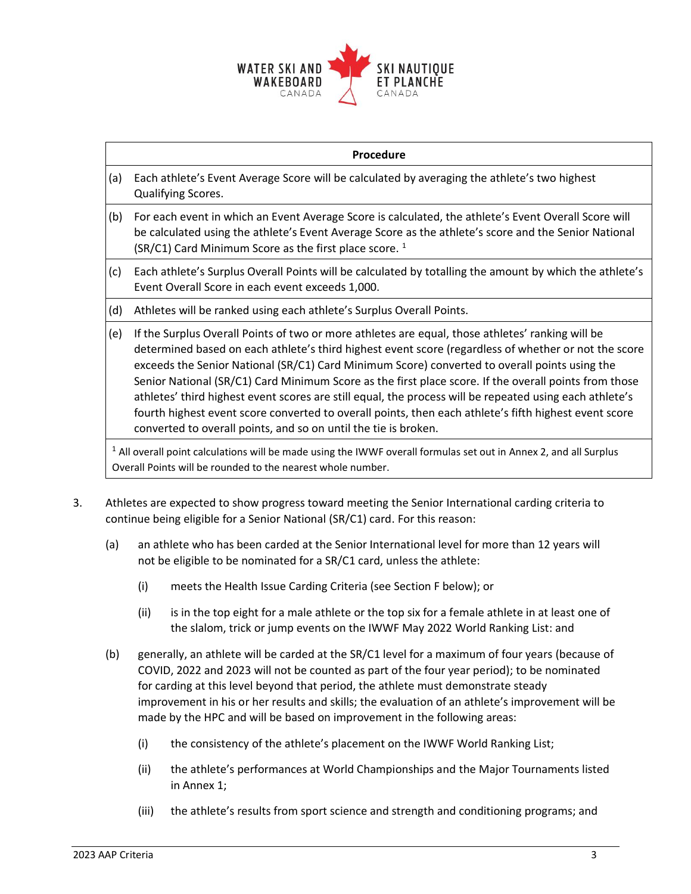

| Procedure                                                                                                                                                                                   |                                                                                                                                                                                                                                                                                                                                                                                                                                                                                                                                                                                                                                                                                                           |  |  |  |
|---------------------------------------------------------------------------------------------------------------------------------------------------------------------------------------------|-----------------------------------------------------------------------------------------------------------------------------------------------------------------------------------------------------------------------------------------------------------------------------------------------------------------------------------------------------------------------------------------------------------------------------------------------------------------------------------------------------------------------------------------------------------------------------------------------------------------------------------------------------------------------------------------------------------|--|--|--|
| (a)                                                                                                                                                                                         | Each athlete's Event Average Score will be calculated by averaging the athlete's two highest<br>Qualifying Scores.                                                                                                                                                                                                                                                                                                                                                                                                                                                                                                                                                                                        |  |  |  |
| (b)                                                                                                                                                                                         | For each event in which an Event Average Score is calculated, the athlete's Event Overall Score will<br>be calculated using the athlete's Event Average Score as the athlete's score and the Senior National<br>(SR/C1) Card Minimum Score as the first place score. <sup>1</sup>                                                                                                                                                                                                                                                                                                                                                                                                                         |  |  |  |
| (c)                                                                                                                                                                                         | Each athlete's Surplus Overall Points will be calculated by totalling the amount by which the athlete's<br>Event Overall Score in each event exceeds 1,000.                                                                                                                                                                                                                                                                                                                                                                                                                                                                                                                                               |  |  |  |
| (d)                                                                                                                                                                                         | Athletes will be ranked using each athlete's Surplus Overall Points.                                                                                                                                                                                                                                                                                                                                                                                                                                                                                                                                                                                                                                      |  |  |  |
| (e)                                                                                                                                                                                         | If the Surplus Overall Points of two or more athletes are equal, those athletes' ranking will be<br>determined based on each athlete's third highest event score (regardless of whether or not the score<br>exceeds the Senior National (SR/C1) Card Minimum Score) converted to overall points using the<br>Senior National (SR/C1) Card Minimum Score as the first place score. If the overall points from those<br>athletes' third highest event scores are still equal, the process will be repeated using each athlete's<br>fourth highest event score converted to overall points, then each athlete's fifth highest event score<br>converted to overall points, and so on until the tie is broken. |  |  |  |
| <sup>1</sup> All overall point calculations will be made using the IWWF overall formulas set out in Annex 2, and all Surplus<br>Overall Points will be rounded to the nearest whole number. |                                                                                                                                                                                                                                                                                                                                                                                                                                                                                                                                                                                                                                                                                                           |  |  |  |

- 3. Athletes are expected to show progress toward meeting the Senior International carding criteria to continue being eligible for a Senior National (SR/C1) card. For this reason:
	- (a) an athlete who has been carded at the Senior International level for more than 12 years will not be eligible to be nominated for a SR/C1 card, unless the athlete:
		- (i) meets the Health Issue Carding Criteria (see Section F below); or
		- (ii) is in the top eight for a male athlete or the top six for a female athlete in at least one of the slalom, trick or jump events on the IWWF May 2022 World Ranking List: and
	- (b) generally, an athlete will be carded at the SR/C1 level for a maximum of four years (because of COVID, 2022 and 2023 will not be counted as part of the four year period); to be nominated for carding at this level beyond that period, the athlete must demonstrate steady improvement in his or her results and skills; the evaluation of an athlete's improvement will be made by the HPC and will be based on improvement in the following areas:
		- (i) the consistency of the athlete's placement on the IWWF World Ranking List;
		- (ii) the athlete's performances at World Championships and the Major Tournaments listed in Annex 1;
		- (iii) the athlete's results from sport science and strength and conditioning programs; and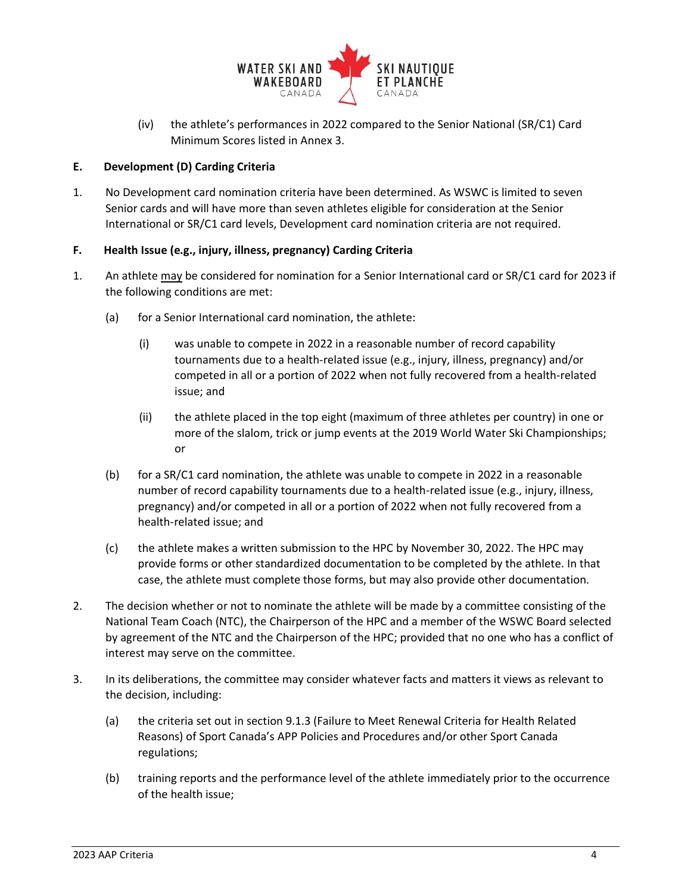

(iv) the athlete's performances in 2022 compared to the Senior National (SR/C1) Card Minimum Scores listed in Annex 3.

# **E. Development (D) Carding Criteria**

1. No Development card nomination criteria have been determined. As WSWC is limited to seven Senior cards and will have more than seven athletes eligible for consideration at the Senior International or SR/C1 card levels, Development card nomination criteria are not required.

# **F. Health Issue (e.g., injury, illness, pregnancy) Carding Criteria**

- 1. An athlete may be considered for nomination for a Senior International card or SR/C1 card for 2023 if the following conditions are met:
	- (a) for a Senior International card nomination, the athlete:
		- (i) was unable to compete in 2022 in a reasonable number of record capability tournaments due to a health-related issue (e.g., injury, illness, pregnancy) and/or competed in all or a portion of 2022 when not fully recovered from a health-related issue; and
		- (ii) the athlete placed in the top eight (maximum of three athletes per country) in one or more of the slalom, trick or jump events at the 2019 World Water Ski Championships; or
	- (b) for a SR/C1 card nomination, the athlete was unable to compete in 2022 in a reasonable number of record capability tournaments due to a health-related issue (e.g., injury, illness, pregnancy) and/or competed in all or a portion of 2022 when not fully recovered from a health-related issue; and
	- (c) the athlete makes a written submission to the HPC by November 30, 2022. The HPC may provide forms or other standardized documentation to be completed by the athlete. In that case, the athlete must complete those forms, but may also provide other documentation.
- 2. The decision whether or not to nominate the athlete will be made by a committee consisting of the National Team Coach (NTC), the Chairperson of the HPC and a member of the WSWC Board selected by agreement of the NTC and the Chairperson of the HPC; provided that no one who has a conflict of interest may serve on the committee.
- 3. In its deliberations, the committee may consider whatever facts and matters it views as relevant to the decision, including:
	- (a) the criteria set out in section 9.1.3 (Failure to Meet Renewal Criteria for Health Related Reasons) of Sport Canada's APP Policies and Procedures and/or other Sport Canada regulations;
	- (b) training reports and the performance level of the athlete immediately prior to the occurrence of the health issue;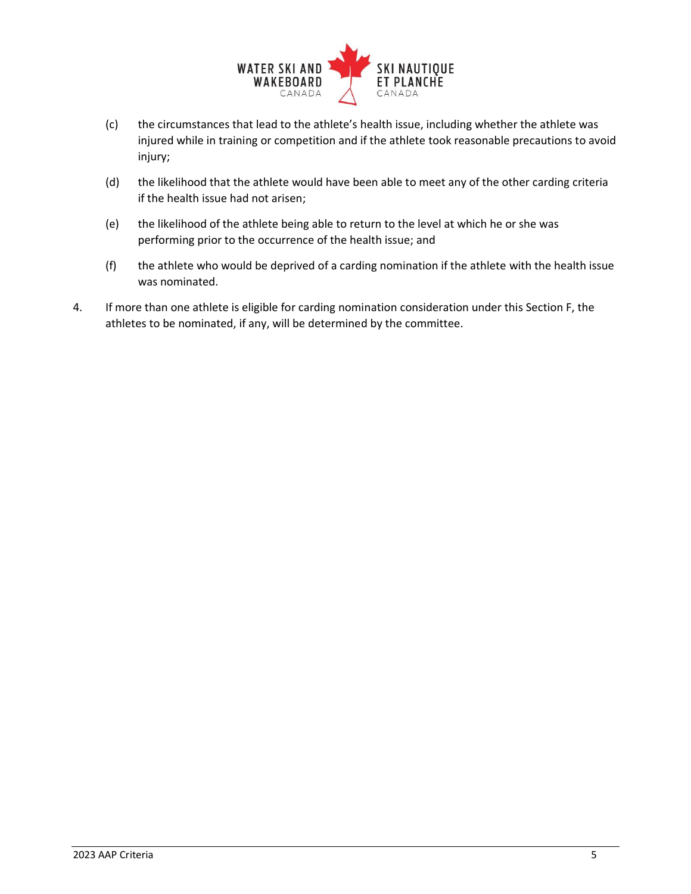

- (c) the circumstances that lead to the athlete's health issue, including whether the athlete was injured while in training or competition and if the athlete took reasonable precautions to avoid injury;
- (d) the likelihood that the athlete would have been able to meet any of the other carding criteria if the health issue had not arisen;
- (e) the likelihood of the athlete being able to return to the level at which he or she was performing prior to the occurrence of the health issue; and
- (f) the athlete who would be deprived of a carding nomination if the athlete with the health issue was nominated.
- 4. If more than one athlete is eligible for carding nomination consideration under this Section F, the athletes to be nominated, if any, will be determined by the committee.